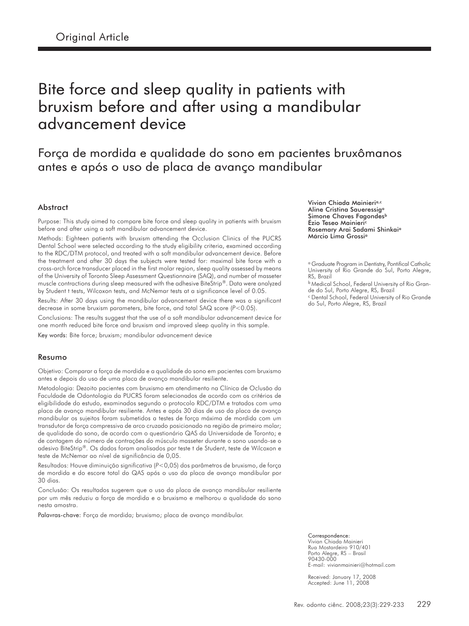# Bite force and sleep quality in patients with bruxism before and after using a mandibular advancement device

## Força de mordida e qualidade do sono em pacientes bruxômanos antes e após o uso de placa de avanço mandibular

#### Abstract

Purpose: This study aimed to compare bite force and sleep quality in patients with bruxism before and after using a soft mandibular advancement device.

Methods: Eighteen patients with bruxism attending the Occlusion Clinics of the PUCRS Dental School were selected according to the study eligibility criteria, examined according to the RDC/DTM protocol, and treated with a soft mandibular advancement device. Before the treatment and after 30 days the subjects were tested for: maximal bite force with a cross-arch force transducer placed in the first molar region, sleep quality assessed by means of the University of Toronto Sleep Assessment Questionnaire (SAQ), and number of masseter muscle contractions during sleep measured with the adhesive BiteStrip®. Data were analyzed by Student t tests, Wilcoxon tests, and McNemar tests at a significance level of 0.05.

Results: After 30 days using the mandibular advancement device there was a significant decrease in some bruxism parameters, bite force, and total SAQ score (P<0.05).

Conclusions: The results suggest that the use of a soft mandibular advancement device for one month reduced bite force and bruxism and improved sleep quality in this sample.

Key words: Bite force; bruxism; mandibular advancement device

#### Resumo

Objetivo: Comparar a força de mordida e a qualidade do sono em pacientes com bruxismo antes e depois do uso de uma placa de avanço mandibular resiliente.

Metodologia: Dezoito pacientes com bruxismo em atendimento na Clínica de Oclusão da Faculdade de Odontologia da PUCRS foram selecionados de acordo com os critérios de eligibilidade do estudo, examinados segundo o protocolo RDC/DTM e tratados com uma placa de avanço mandibular resiliente. Antes e após 30 dias de uso da placa de avanço mandibular os sujeitos foram submetidos a testes de força máxima de mordida com um transdutor de força compressiva de arco cruzado posicionado na região de primeiro molar; de qualidade do sono, de acordo com o questionário QAS da Universidade de Toronto; e de contagem do número de contrações do músculo masseter durante o sono usando-se o adesivo BiteStrip®. Os dados foram analisados por teste t de Student, teste de Wilcoxon e teste de McNemar ao nível de significância de 0,05.

Resultados: Houve diminuição significativa (P<0,05) dos parâmetros de bruxismo, de força de mordida e do escore total do QAS após o uso da placa de avanço mandibular por 30 dias.

Conclusão: Os resultados sugerem que o uso da placa de avanço mandibular resiliente por um mês reduziu a força de mordida e o bruxismo e melhorou a qualidade do sono nesta amostra.

Palavras-chave: Força de mordida; bruxismo; placa de avanço mandibular.

Vivian Chiada Mainieria,c Aline Cristina Saueressig<sup>a</sup> Simone Chaves Fagondesb Ézio Teseo Mainieri<sup>c</sup> Rosemary Arai Sadami Shinkai<sup>a</sup> Márcio Lima Grossi<sup>a</sup>

<sup>a</sup> Graduate Program in Dentistry, Pontifical Catholic University of Rio Grande do Sul, Porto Alegre, RS, Brazil

**b Medical School, Federal University of Rio Gran**de do Sul, Porto Alegre, RS, Brazil

<sup>c</sup> Dental School, Federal University of Rio Grande do Sul, Porto Alegre, RS, Brazil

Correspondence: Vivian Chiada Mainieri Rua Mostardeiro 910/401 Porto Alegre, RS – Brasil 90430-000 E-mail: vivianmainieri@hotmail.com

Received: January 17, 2008 Accepted: June 11, 2008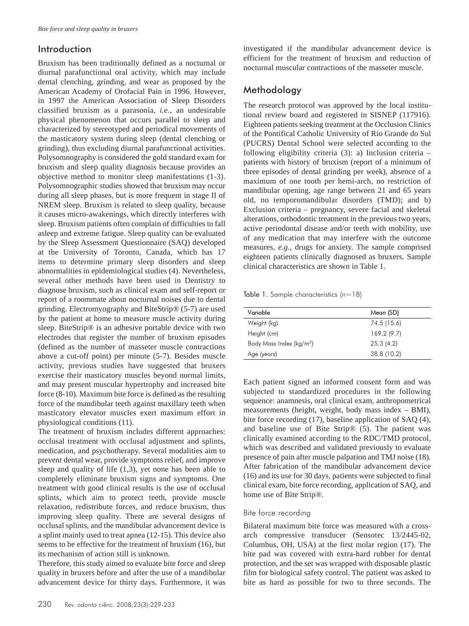## Introduction

Bruxism has been traditionally defined as a nocturnal or diurnal parafunctional oral activity, which may include dental clenching, grinding, and wear as proposed by the American Academy of Orofacial Pain in 1996. However, in 1997 the American Association of Sleep Disorders classified bruxism as a parasonia, *i.e.*, an undesirable physical phenomenon that occurs parallel to sleep and characterized by stereotyped and periodical movements of the masticatory system during sleep (dental clenching or grinding), thus excluding diurnal parafunctional activities. Polysomnography is considered the gold standard exam for bruxism and sleep quality diagnosis because provides an objective method to monitor sleep manifestations (1-3). Polysomnographic studies showed that bruxism may occur during all sleep phases, but is more frequent in stage II of NREM sleep. Bruxism is related to sleep quality, because it causes micro-awakenings, which directly interferes with sleep. Bruxism patients often complain of difficulties to fall asleep and extreme fatigue. Sleep quality can be evaluated by the Sleep Assessment Questionnaire (SAQ) developed at the University of Toronto, Canada, which has 17 items to determine primary sleep disorders and sleep abnormalities in epidemiological studies (4). Nevertheless, several other methods have been used in Dentistry to diagnose bruxism, such as clinical exam and self-report or report of a roommate about nocturnal noises due to dental grinding. Electromyography and BiteStrip® (5-7) are used by the patient at home to measure muscle activity during sleep. BiteStrip® is an adhesive portable device with two electrodes that register the number of bruxism episodes (defined as the number of masseter muscle contractions above a cut-off point) per minute (5-7). Besides muscle activity, previous studies have suggested that bruxers exercise their masticatory muscles beyond normal limits, and may present muscular hypertrophy and increased bite force (8-10). Maximum bite force is defined as the resulting force of the mandibular teeth against maxillary teeth when masticatory elevator muscles exert maximum effort in physiological conditions (11).

The treatment of bruxism includes different approaches: occlusal treatment with occlusal adjustment and splints, medication, and psychotherapy. Several modalities aim to prevent dental wear, provide symptoms relief, and improve sleep and quality of life (1,3), yet none has been able to completely eliminate bruxism signs and symptoms. One treatment with good clinical results is the use of occlusal splints, which aim to protect teeth, provide muscle relaxation, redistribute forces, and reduce bruxism, thus improving sleep quality. There are several designs of occlusal splints, and the mandibular advancement device is a splint mainly used to treat apnea (12-15). This device also seems to be effective for the treatment of bruxism (16), but its mechanism of action still is unknown.

Therefore, this study aimed to evaluate bite force and sleep quality in bruxers before and after the use of a mandibular advancement device for thirty days. Furthermore, it was investigated if the mandibular advancement device is efficient for the treatment of bruxism and reduction of nocturnal muscular contractions of the masseter muscle.

## Methodology

The research protocol was approved by the local institutional review board and registered in SISNEP (117916). Eighteen patients seeking treatment at the Occlusion Clinics of the Pontifical Catholic University of Rio Grande do Sul (PUCRS) Dental School were selected according to the following eligibility criteria (3): a) Inclusion criteria – patients with history of bruxism (report of a minimum of three episodes of dental grinding per week), absence of a maximum of one tooth per hemi-arch, no restriction of mandibular opening, age range between 21 and 65 years old, no temporomandibular disorders (TMD); and b) Exclusion criteria – pregnancy, severe facial and skeletal alterations, orthodontic treatment in the previous two years, active periodontal disease and/or teeth with mobility, use of any medication that may interfere with the outcome measures, *e.g.*, drugs for anxiety. The sample comprised eighteen patients clinically diagnosed as bruxers. Sample clinical characteristics are shown in Table 1.

Table 1. Sample characteristics (n=18)

| Variable                             | Mean (SD)   |
|--------------------------------------|-------------|
| Weight (kg)                          | 74.5 (15.6) |
| Height (cm)                          | 169.2(9.7)  |
| Body Mass Index (kg/m <sup>2</sup> ) | 25.3(4.2)   |
| Age (years)                          | 38.8 (10.2) |

Each patient signed an informed consent form and was subjected to standardized procedures in the following sequence: anamnesis, oral clinical exam, anthropometrical measurements (height, weight, body mass index – BMI), bite force recording (17), baseline application of SAQ (4), and baseline use of Bite Strip® (5). The patient was clinically examined according to the RDC/TMD protocol, which was described and validated previously to evaluate presence of pain after muscle palpation and TMJ noise (18). After fabrication of the mandibular advancement device (16) and its use for 30 days, patients were subjected to final clinical exam, bite force recording, application of SAQ, and home use of Bite Strip®.

#### Bite force recording

Bilateral maximum bite force was measured with a crossarch compressive transducer (Sensotec 13/2445-02, Columbus, OH, USA) at the first molar region (17). The bite pad was covered with extra-hard rubber for dental protection, and the set was wrapped with disposable plastic film for biological safety control. The patient was asked to bite as hard as possible for two to three seconds. The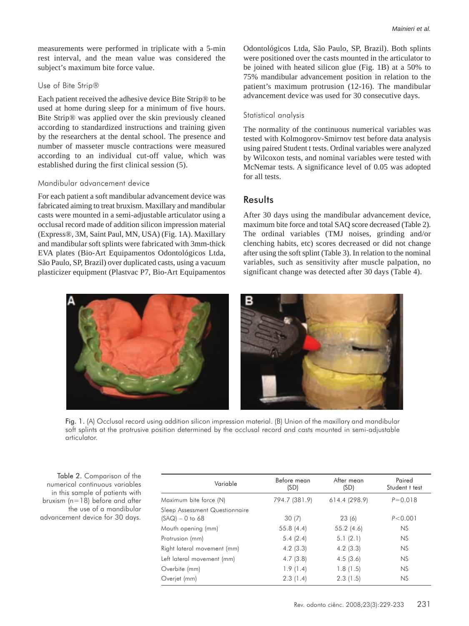measurements were performed in triplicate with a 5-min rest interval, and the mean value was considered the subject's maximum bite force value.

#### Use of Bite Strip®

Each patient received the adhesive device Bite Strip*®* to be used at home during sleep for a minimum of five hours. Bite Strip*®* was applied over the skin previously cleaned according to standardized instructions and training given by the researchers at the dental school. The presence and number of masseter muscle contractions were measured according to an individual cut-off value, which was established during the first clinical session (5).

#### Mandibular advancement device

For each patient a soft mandibular advancement device was fabricated aiming to treat bruxism. Maxillary and mandibular casts were mounted in a semi-adjustable articulator using a occlusal record made of addition silicon impression material (Express®, 3M, Saint Paul, MN, USA) (Fig. 1A). Maxillary and mandibular soft splints were fabricated with 3mm-thick EVA plates (Bio-Art Equipamentos Odontológicos Ltda, São Paulo, SP, Brazil) over duplicated casts, using a vacuum plasticizer equipment (Plastvac P7, Bio-Art Equipamentos Odontológicos Ltda, São Paulo, SP, Brazil). Both splints were positioned over the casts mounted in the articulator to be joined with heated silicon glue (Fig. 1B) at a 50% to 75% mandibular advancement position in relation to the patient's maximum protrusion (12-16). The mandibular advancement device was used for 30 consecutive days.

#### Statistical analysis

The normality of the continuous numerical variables was tested with Kolmogorov-Smirnov test before data analysis using paired Student t tests. Ordinal variables were analyzed by Wilcoxon tests, and nominal variables were tested with McNemar tests. A significance level of 0.05 was adopted for all tests.

### **Results**

After 30 days using the mandibular advancement device, maximum bite force and total SAQ score decreased (Table 2). The ordinal variables (TMJ noises, grinding and/or clenching habits, etc) scores decreased or did not change after using the soft splint (Table 3). In relation to the nominal variables, such as sensitivity after muscle palpation, no significant change was detected after 30 days (Table 4).



Fig. 1. (A) Occlusal record using addition silicon impression material. (B) Union of the maxillary and mandibular soft splints at the protrusive position determined by the occlusal record and casts mounted in semi-adjustable articulator.

Table 2. Comparison of the numerical continuous variables in this sample of patients with bruxism (n=18) before and after the use of a mandibular advancement device for 30 days.

| Variable                                            | Before mean<br>(SD) | After mean<br>(SD) | Paired<br>Student t test |
|-----------------------------------------------------|---------------------|--------------------|--------------------------|
| Maximum bite force (N)                              | 794.7 (381.9)       | 614.4 (298.9)      | $P = 0.018$              |
| Sleep Assessment Questionnaire<br>$(SAQ) - 0$ to 68 | 30(7)               | 23(6)              | P < 0.001                |
| Mouth opening (mm)                                  | 55.8(4.4)           | 55.2(4.6)          | <b>NS</b>                |
| Protrusion (mm)                                     | 5.4(2.4)            | 5.1(2.1)           | <b>NS</b>                |
| Right lateral movement (mm)                         | 4.2(3.3)            | 4.2(3.3)           | <b>NS</b>                |
| Left lateral movement (mm)                          | 4.7(3.8)            | 4.5(3.6)           | <b>NS</b>                |
| Overbite (mm)                                       | 1.9(1.4)            | 1.8(1.5)           | <b>NS</b>                |
| Overjet (mm)                                        | 2.3(1.4)            | 2.3(1.5)           | <b>NS</b>                |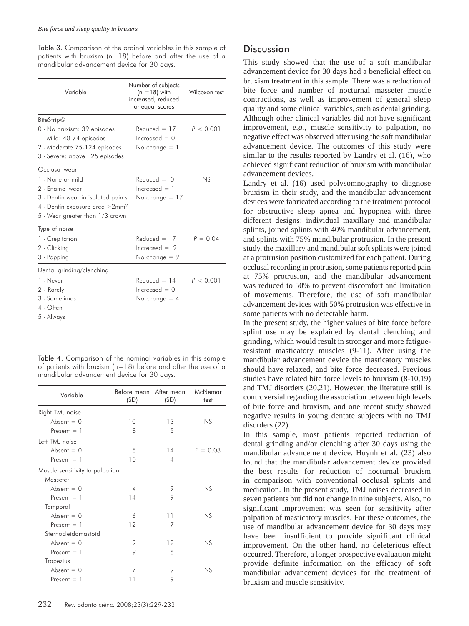Table 3. Comparison of the ordinal variables in this sample of patients with bruxism (n=18) before and after the use of a mandibular advancement device for 30 days.

| Variable                                                                                                                                                                     | Number of subjects<br>$(n = 18)$ with<br>increased, reduced<br>or equal scores | Wilcoxon test |
|------------------------------------------------------------------------------------------------------------------------------------------------------------------------------|--------------------------------------------------------------------------------|---------------|
| <b>BiteStrip</b> ©<br>0 - No bruxism: 39 episodes<br>1 - Mild: 40-74 episodes<br>2 - Moderate: 75-124 episodes<br>3 - Severe: above 125 episodes                             | $Reduced = 17$<br>$increased = 0$<br>No change $=$ 1                           | P < 0.001     |
| Occlusal wear<br>1 - None or mild<br>2 - Enamel wear<br>3 - Dentin wear in isolated points<br>4 - Dentin exposure area > 2mm <sup>2</sup><br>5 - Wear greater than 1/3 crown | $Reduced = 0$<br>$increased = 1$<br>No change $=$ 17                           | NS            |
| Type of noise<br>1 - Crepitation<br>2 - Clicking<br>3 - Popping                                                                                                              | $Reduced = 7$<br>$increased = 2$<br>No change $= 9$                            | $P = 0.04$    |
| Dental grinding/clenching<br>1 - Never<br>2 - Rarely<br>3 - Sometimes<br>4 - Often<br>5 - Always                                                                             | $Reduced = 14$<br>$increased = 0$<br>No change $=$ 4                           | P < 0.001     |

Table 4. Comparison of the nominal variables in this sample of patients with bruxism ( $n=18$ ) before and after the use of a mandibular advancement device for 30 days.

| Variable                        | Before mean After mean<br>(SD) | (SD) | McNemar<br>test |
|---------------------------------|--------------------------------|------|-----------------|
| Right TMJ noise                 |                                |      |                 |
| Absent $= 0$                    | 10                             | 13   | NS              |
| $Present = 1$                   | 8                              | 5    |                 |
| Left TMJ noise                  |                                |      |                 |
| Absent $= 0$                    | 8                              | 14   | $P = 0.03$      |
| Present $= 1$                   | 10                             | 4    |                 |
| Muscle sensitivity to palpation |                                |      |                 |
| Masseter                        |                                |      |                 |
| Absent $= 0$                    | $\overline{4}$                 | 9    | NS              |
| Present $= 1$                   | 14                             | 9    |                 |
| Temporal                        |                                |      |                 |
| Absent $= 0$                    | 6                              | 11   | NS              |
| Present $= 1$                   | 12                             | 7    |                 |
| Sternocleidomastoid             |                                |      |                 |
| Absent $= 0$                    | 9                              | 12   | NS              |
| $Present = 1$                   | 9                              | 6    |                 |
| Trapezius                       |                                |      |                 |
| Absent $= 0$                    | 7                              | 9    | NS              |
| $Present = 1$                   | 11                             | 9    |                 |

## **Discussion**

This study showed that the use of a soft mandibular advancement device for 30 days had a beneficial effect on bruxism treatment in this sample. There was a reduction of bite force and number of nocturnal masseter muscle contractions, as well as improvement of general sleep quality and some clinical variables, such as dental grinding. Although other clinical variables did not have significant improvement, *e.g.*, muscle sensitivity to palpation, no negative effect was observed after using the soft mandibular advancement device. The outcomes of this study were similar to the results reported by Landry et al. (16), who achieved significant reduction of bruxism with mandibular advancement devices.

Landry et al. (16) used polysomnography to diagnose bruxism in their study, and the mandibular advancement devices were fabricated according to the treatment protocol for obstructive sleep apnea and hypopnea with three different designs: individual maxillary and mandibular splints, joined splints with 40% mandibular advancement, and splints with 75% mandibular protrusion. In the present study, the maxillary and mandibular soft splints were joined at a protrusion position customized for each patient. During occlusal recording in protrusion, some patients reported pain at 75% protrusion, and the mandibular advancement was reduced to 50% to prevent discomfort and limitation of movements. Therefore, the use of soft mandibular advancement devices with 50% protrusion was effective in some patients with no detectable harm.

In the present study, the higher values of bite force before splint use may be explained by dental clenching and grinding, which would result in stronger and more fatigueresistant masticatory muscles (9-11). After using the mandibular advancement device the masticatory muscles should have relaxed, and bite force decreased. Previous studies have related bite force levels to bruxism (8-10,19) and TMJ disorders (20,21). However, the literature still is controversial regarding the association between high levels of bite force and bruxism, and one recent study showed negative results in young dentate subjects with no TMJ disorders (22).

In this sample, most patients reported reduction of dental grinding and/or clenching after 30 days using the mandibular advancement device. Huynh et al. (23) also found that the mandibular advancement device provided the best results for reduction of nocturnal bruxism in comparison with conventional occlusal splints and medication. In the present study, TMJ noises decreased in seven patients but did not change in nine subjects. Also, no significant improvement was seen for sensitivity after palpation of masticatory muscles. For these outcomes, the use of mandibular advancement device for 30 days may have been insufficient to provide significant clinical improvement. On the other hand, no deleterious effect occurred. Therefore, a longer prospective evaluation might provide definite information on the efficacy of soft mandibular advancement devices for the treatment of bruxism and muscle sensitivity.